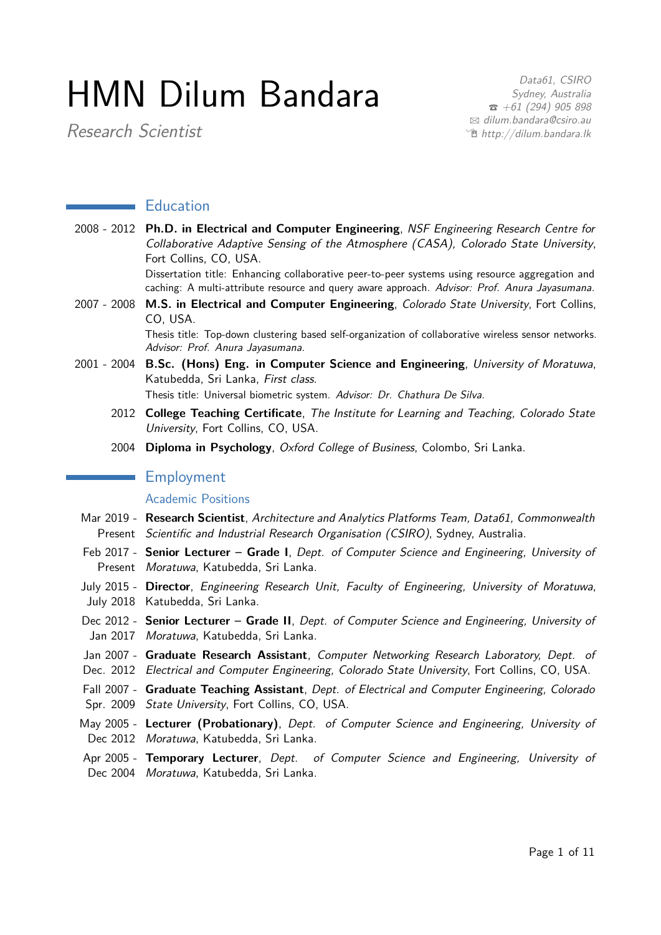# HMN Dilum Bandara

Research Scientist

Data61, CSIRO Sydney, Australia  $\bar{a}$  [+61 \(294\) 905 898](tel:+61294905898)  $\boxtimes$  [dilum.bandara@csiro.au](mailto:dilum.bandara@csiro.au) <sup>•</sup> [http://dilum.bandara.lk](http://http://dilum.bandara.lk)

# **Example 5** Education

2008 - 2012 **Ph.D. in Electrical and Computer Engineering**, NSF Engineering Research Centre for Collaborative Adaptive Sensing of the Atmosphere (CASA), Colorado State University, Fort Collins, CO, USA.

Dissertation title: Enhancing collaborative peer-to-peer systems using resource aggregation and caching: A multi-attribute resource and query aware approach. Advisor: Prof. Anura Jayasumana.

2007 - 2008 **M.S. in Electrical and Computer Engineering**, Colorado State University, Fort Collins, CO, USA.

> Thesis title: Top-down clustering based self-organization of collaborative wireless sensor networks. Advisor: Prof. Anura Jayasumana.

2001 - 2004 **B.Sc. (Hons) Eng. in Computer Science and Engineering**, University of Moratuwa, Katubedda, Sri Lanka, First class.

Thesis title: Universal biometric system. Advisor: Dr. Chathura De Silva.

- 2012 **College Teaching Certificate**, The Institute for Learning and Teaching, Colorado State University, Fort Collins, CO, USA.
- 2004 **Diploma in Psychology**, Oxford College of Business, Colombo, Sri Lanka.

# **Employment**

#### Academic Positions

- Mar 2019 **Research Scientist**, Architecture and Analytics Platforms Team, Data61, Commonwealth Present Scientific and Industrial Research Organisation (CSIRO), Sydney, Australia.
- Feb 2017 Senior Lecturer Grade I, Dept. of Computer Science and Engineering, University of Present Moratuwa, Katubedda, Sri Lanka.
- July 2015 **Director**, Engineering Research Unit, Faculty of Engineering, University of Moratuwa, July 2018 Katubedda, Sri Lanka.
- Dec 2012 Senior Lecturer Grade II, Dept. of Computer Science and Engineering, University of Jan 2017 *Moratuwa*, Katubedda, Sri Lanka.
- Jan 2007 Graduate Research Assistant, Computer Networking Research Laboratory, Dept. of Dec. 2012 Electrical and Computer Engineering, Colorado State University, Fort Collins, CO, USA.
- Fall 2007 **Graduate Teaching Assistant**, Dept. of Electrical and Computer Engineering, Colorado Spr. 2009 State University, Fort Collins, CO, USA.
- May 2005 Lecturer (Probationary), Dept. of Computer Science and Engineering, University of Dec 2012 Moratuwa, Katubedda, Sri Lanka.
- Apr 2005 Temporary Lecturer, Dept. of Computer Science and Engineering, University of Dec 2004 Moratuwa, Katubedda, Sri Lanka.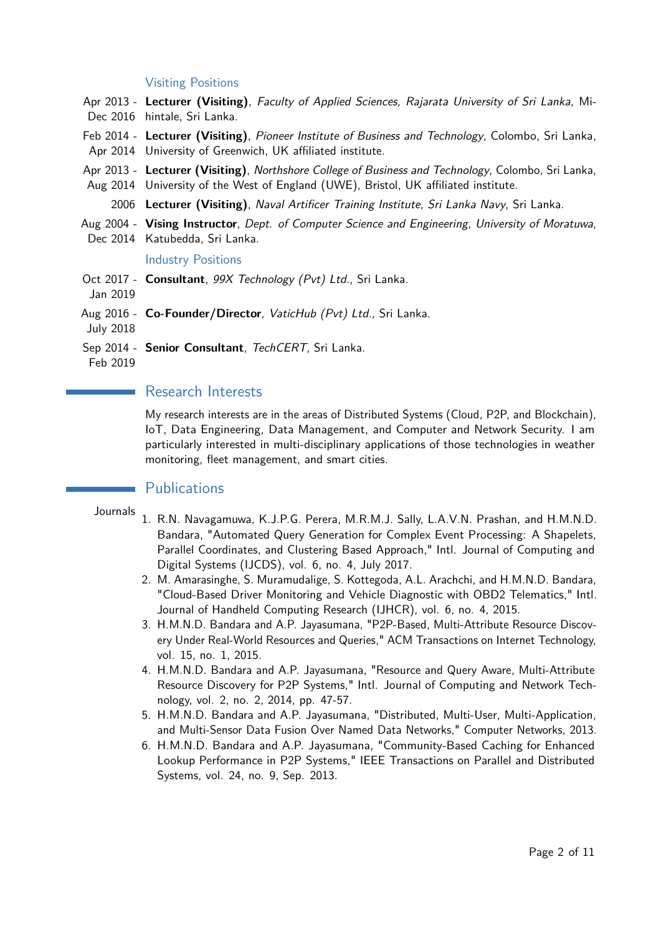#### Visiting Positions

- Apr 2013 **Lecturer (Visiting)**, Faculty of Applied Sciences, Rajarata University of Sri Lanka, Mi-Dec 2016 hintale, Sri Lanka.
- Feb 2014 **Lecturer (Visiting)**, Pioneer Institute of Business and Technology, Colombo, Sri Lanka, Apr 2014 University of Greenwich, UK affiliated institute.
- Apr 2013 **Lecturer (Visiting)**, Northshore College of Business and Technology, Colombo, Sri Lanka, Aug 2014 University of the West of England (UWE), Bristol, UK affiliated institute.

2006 **Lecturer (Visiting)**, Naval Artificer Training Institute, Sri Lanka Navy, Sri Lanka.

- Aug 2004 **Vising Instructor**, Dept. of Computer Science and Engineering, University of Moratuwa,
- Dec 2014 Katubedda, Sri Lanka.

#### Industry Positions

- Oct 2017 **Consultant**, 99X Technology (Pvt) Ltd., Sri Lanka.
- Jan 2019
- Aug 2016 **Co-Founder/Director**, VaticHub (Pvt) Ltd., Sri Lanka.

July 2018

Sep 2014 - Senior Consultant, TechCERT, Sri Lanka.

Feb 2019

# Research Interests

My research interests are in the areas of Distributed Systems (Cloud, P2P, and Blockchain), IoT, Data Engineering, Data Management, and Computer and Network Security. I am particularly interested in multi-disciplinary applications of those technologies in weather monitoring, fleet management, and smart cities.

# **Publications**

Journals

- 1. R.N. Navagamuwa, K.J.P.G. Perera, M.R.M.J. Sally, L.A.V.N. Prashan, and H.M.N.D. Bandara, "Automated Query Generation for Complex Event Processing: A Shapelets, Parallel Coordinates, and Clustering Based Approach," Intl. Journal of Computing and Digital Systems (IJCDS), vol. 6, no. 4, July 2017.
	- 2. M. Amarasinghe, S. Muramudalige, S. Kottegoda, A.L. Arachchi, and H.M.N.D. Bandara, "Cloud-Based Driver Monitoring and Vehicle Diagnostic with OBD2 Telematics," Intl. Journal of Handheld Computing Research (IJHCR), vol. 6, no. 4, 2015.
	- 3. H.M.N.D. Bandara and A.P. Jayasumana, "P2P-Based, Multi-Attribute Resource Discovery Under Real-World Resources and Queries," ACM Transactions on Internet Technology, vol. 15, no. 1, 2015.
	- 4. H.M.N.D. Bandara and A.P. Jayasumana, "Resource and Query Aware, Multi-Attribute Resource Discovery for P2P Systems," Intl. Journal of Computing and Network Technology, vol. 2, no. 2, 2014, pp. 47-57.
	- 5. H.M.N.D. Bandara and A.P. Jayasumana, "Distributed, Multi-User, Multi-Application, and Multi-Sensor Data Fusion Over Named Data Networks," Computer Networks, 2013.
	- 6. H.M.N.D. Bandara and A.P. Jayasumana, "Community-Based Caching for Enhanced Lookup Performance in P2P Systems," IEEE Transactions on Parallel and Distributed Systems, vol. 24, no. 9, Sep. 2013.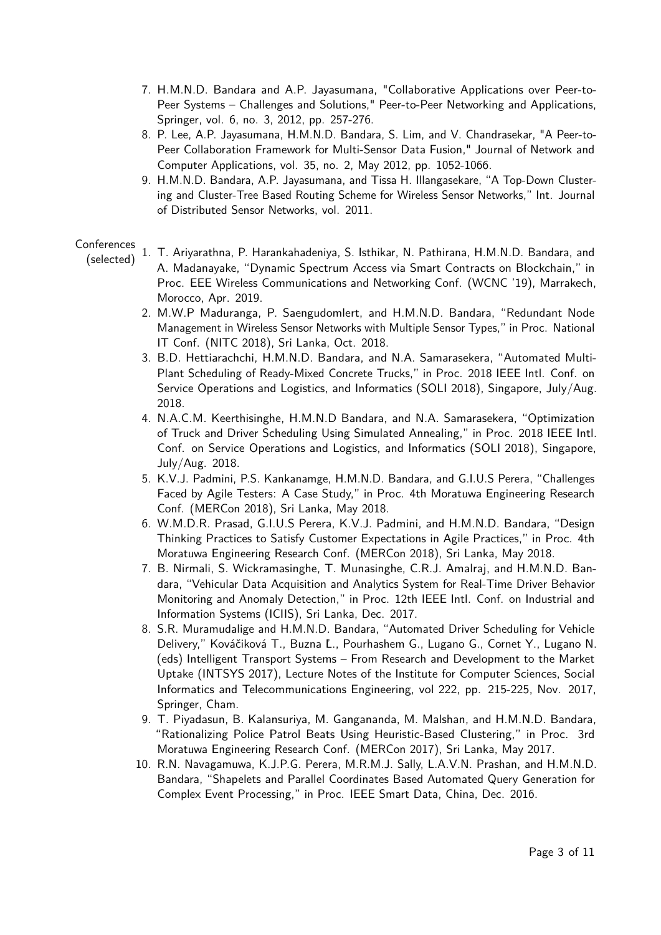- 7. H.M.N.D. Bandara and A.P. Jayasumana, "Collaborative Applications over Peer-to-Peer Systems – Challenges and Solutions," Peer-to-Peer Networking and Applications, Springer, vol. 6, no. 3, 2012, pp. 257-276.
- 8. P. Lee, A.P. Jayasumana, H.M.N.D. Bandara, S. Lim, and V. Chandrasekar, "A Peer-to-Peer Collaboration Framework for Multi-Sensor Data Fusion," Journal of Network and Computer Applications, vol. 35, no. 2, May 2012, pp. 1052-1066.
- 9. H.M.N.D. Bandara, A.P. Jayasumana, and Tissa H. Illangasekare, "A Top-Down Clustering and Cluster-Tree Based Routing Scheme for Wireless Sensor Networks," Int. Journal of Distributed Sensor Networks, vol. 2011.

### **Conferences**

- (selected) 1. T. Ariyarathna, P. Harankahadeniya, S. Isthikar, N. Pathirana, H.M.N.D. Bandara, and A. Madanayake, "Dynamic Spectrum Access via Smart Contracts on Blockchain," in Proc. EEE Wireless Communications and Networking Conf. (WCNC '19), Marrakech, Morocco, Apr. 2019.
	- 2. M.W.P Maduranga, P. Saengudomlert, and H.M.N.D. Bandara, "Redundant Node Management in Wireless Sensor Networks with Multiple Sensor Types," in Proc. National IT Conf. (NITC 2018), Sri Lanka, Oct. 2018.
	- 3. B.D. Hettiarachchi, H.M.N.D. Bandara, and N.A. Samarasekera, "Automated Multi-Plant Scheduling of Ready-Mixed Concrete Trucks," in Proc. 2018 IEEE Intl. Conf. on Service Operations and Logistics, and Informatics (SOLI 2018), Singapore, July/Aug. 2018.
	- 4. N.A.C.M. Keerthisinghe, H.M.N.D Bandara, and N.A. Samarasekera, "Optimization of Truck and Driver Scheduling Using Simulated Annealing," in Proc. 2018 IEEE Intl. Conf. on Service Operations and Logistics, and Informatics (SOLI 2018), Singapore, July/Aug. 2018.
	- 5. K.V.J. Padmini, P.S. Kankanamge, H.M.N.D. Bandara, and G.I.U.S Perera, "Challenges Faced by Agile Testers: A Case Study," in Proc. 4th Moratuwa Engineering Research Conf. (MERCon 2018), Sri Lanka, May 2018.
	- 6. W.M.D.R. Prasad, G.I.U.S Perera, K.V.J. Padmini, and H.M.N.D. Bandara, "Design Thinking Practices to Satisfy Customer Expectations in Agile Practices," in Proc. 4th Moratuwa Engineering Research Conf. (MERCon 2018), Sri Lanka, May 2018.
	- 7. B. Nirmali, S. Wickramasinghe, T. Munasinghe, C.R.J. Amalraj, and H.M.N.D. Bandara, "Vehicular Data Acquisition and Analytics System for Real-Time Driver Behavior Monitoring and Anomaly Detection," in Proc. 12th IEEE Intl. Conf. on Industrial and Information Systems (ICIIS), Sri Lanka, Dec. 2017.
	- 8. S.R. Muramudalige and H.M.N.D. Bandara, "Automated Driver Scheduling for Vehicle Delivery," Kováčiková T., Buzna Ľ., Pourhashem G., Lugano G., Cornet Y., Lugano N. (eds) Intelligent Transport Systems – From Research and Development to the Market Uptake (INTSYS 2017), Lecture Notes of the Institute for Computer Sciences, Social Informatics and Telecommunications Engineering, vol 222, pp. 215-225, Nov. 2017, Springer, Cham.
	- 9. T. Piyadasun, B. Kalansuriya, M. Gangananda, M. Malshan, and H.M.N.D. Bandara, "Rationalizing Police Patrol Beats Using Heuristic-Based Clustering," in Proc. 3rd Moratuwa Engineering Research Conf. (MERCon 2017), Sri Lanka, May 2017.
	- 10. R.N. Navagamuwa, K.J.P.G. Perera, M.R.M.J. Sally, L.A.V.N. Prashan, and H.M.N.D. Bandara, "Shapelets and Parallel Coordinates Based Automated Query Generation for Complex Event Processing," in Proc. IEEE Smart Data, China, Dec. 2016.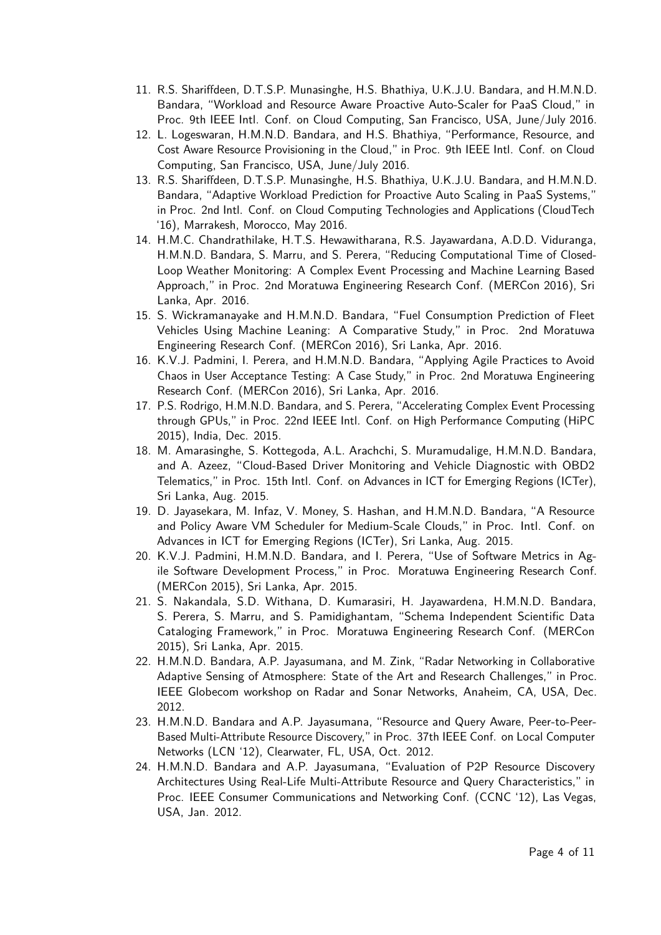- 11. R.S. Shariffdeen, D.T.S.P. Munasinghe, H.S. Bhathiya, U.K.J.U. Bandara, and H.M.N.D. Bandara, "Workload and Resource Aware Proactive Auto-Scaler for PaaS Cloud," in Proc. 9th IEEE Intl. Conf. on Cloud Computing, San Francisco, USA, June/July 2016.
- 12. L. Logeswaran, H.M.N.D. Bandara, and H.S. Bhathiya, "Performance, Resource, and Cost Aware Resource Provisioning in the Cloud," in Proc. 9th IEEE Intl. Conf. on Cloud Computing, San Francisco, USA, June/July 2016.
- 13. R.S. Shariffdeen, D.T.S.P. Munasinghe, H.S. Bhathiya, U.K.J.U. Bandara, and H.M.N.D. Bandara, "Adaptive Workload Prediction for Proactive Auto Scaling in PaaS Systems," in Proc. 2nd Intl. Conf. on Cloud Computing Technologies and Applications (CloudTech '16), Marrakesh, Morocco, May 2016.
- 14. H.M.C. Chandrathilake, H.T.S. Hewawitharana, R.S. Jayawardana, A.D.D. Viduranga, H.M.N.D. Bandara, S. Marru, and S. Perera, "Reducing Computational Time of Closed-Loop Weather Monitoring: A Complex Event Processing and Machine Learning Based Approach," in Proc. 2nd Moratuwa Engineering Research Conf. (MERCon 2016), Sri Lanka, Apr. 2016.
- 15. S. Wickramanayake and H.M.N.D. Bandara, "Fuel Consumption Prediction of Fleet Vehicles Using Machine Leaning: A Comparative Study," in Proc. 2nd Moratuwa Engineering Research Conf. (MERCon 2016), Sri Lanka, Apr. 2016.
- 16. K.V.J. Padmini, I. Perera, and H.M.N.D. Bandara, "Applying Agile Practices to Avoid Chaos in User Acceptance Testing: A Case Study," in Proc. 2nd Moratuwa Engineering Research Conf. (MERCon 2016), Sri Lanka, Apr. 2016.
- 17. P.S. Rodrigo, H.M.N.D. Bandara, and S. Perera, "Accelerating Complex Event Processing through GPUs," in Proc. 22nd IEEE Intl. Conf. on High Performance Computing (HiPC 2015), India, Dec. 2015.
- 18. M. Amarasinghe, S. Kottegoda, A.L. Arachchi, S. Muramudalige, H.M.N.D. Bandara, and A. Azeez, "Cloud-Based Driver Monitoring and Vehicle Diagnostic with OBD2 Telematics," in Proc. 15th Intl. Conf. on Advances in ICT for Emerging Regions (ICTer), Sri Lanka, Aug. 2015.
- 19. D. Jayasekara, M. Infaz, V. Money, S. Hashan, and H.M.N.D. Bandara, "A Resource and Policy Aware VM Scheduler for Medium-Scale Clouds," in Proc. Intl. Conf. on Advances in ICT for Emerging Regions (ICTer), Sri Lanka, Aug. 2015.
- 20. K.V.J. Padmini, H.M.N.D. Bandara, and I. Perera, "Use of Software Metrics in Agile Software Development Process," in Proc. Moratuwa Engineering Research Conf. (MERCon 2015), Sri Lanka, Apr. 2015.
- 21. S. Nakandala, S.D. Withana, D. Kumarasiri, H. Jayawardena, H.M.N.D. Bandara, S. Perera, S. Marru, and S. Pamidighantam, "Schema Independent Scientific Data Cataloging Framework," in Proc. Moratuwa Engineering Research Conf. (MERCon 2015), Sri Lanka, Apr. 2015.
- 22. H.M.N.D. Bandara, A.P. Jayasumana, and M. Zink, "Radar Networking in Collaborative Adaptive Sensing of Atmosphere: State of the Art and Research Challenges," in Proc. IEEE Globecom workshop on Radar and Sonar Networks, Anaheim, CA, USA, Dec. 2012.
- 23. H.M.N.D. Bandara and A.P. Jayasumana, "Resource and Query Aware, Peer-to-Peer-Based Multi-Attribute Resource Discovery," in Proc. 37th IEEE Conf. on Local Computer Networks (LCN '12), Clearwater, FL, USA, Oct. 2012.
- 24. H.M.N.D. Bandara and A.P. Jayasumana, "Evaluation of P2P Resource Discovery Architectures Using Real-Life Multi-Attribute Resource and Query Characteristics," in Proc. IEEE Consumer Communications and Networking Conf. (CCNC '12), Las Vegas, USA, Jan. 2012.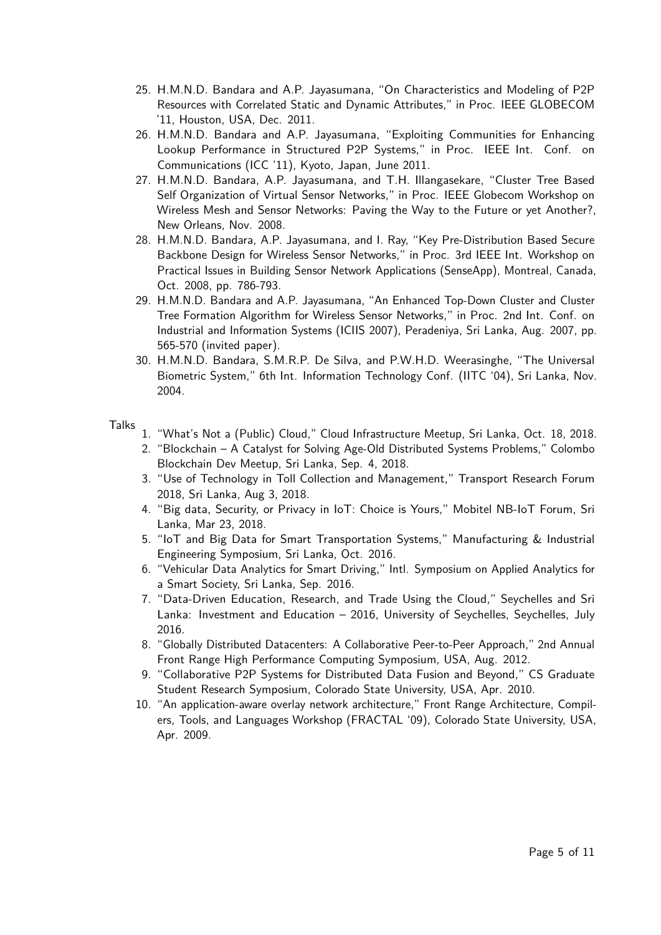- 25. H.M.N.D. Bandara and A.P. Jayasumana, "On Characteristics and Modeling of P2P Resources with Correlated Static and Dynamic Attributes," in Proc. IEEE GLOBECOM '11, Houston, USA, Dec. 2011.
- 26. H.M.N.D. Bandara and A.P. Jayasumana, "Exploiting Communities for Enhancing Lookup Performance in Structured P2P Systems," in Proc. IEEE Int. Conf. on Communications (ICC '11), Kyoto, Japan, June 2011.
- 27. H.M.N.D. Bandara, A.P. Jayasumana, and T.H. Illangasekare, "Cluster Tree Based Self Organization of Virtual Sensor Networks," in Proc. IEEE Globecom Workshop on Wireless Mesh and Sensor Networks: Paving the Way to the Future or yet Another?, New Orleans, Nov. 2008.
- 28. H.M.N.D. Bandara, A.P. Jayasumana, and I. Ray, "Key Pre-Distribution Based Secure Backbone Design for Wireless Sensor Networks," in Proc. 3rd IEEE Int. Workshop on Practical Issues in Building Sensor Network Applications (SenseApp), Montreal, Canada, Oct. 2008, pp. 786-793.
- 29. H.M.N.D. Bandara and A.P. Jayasumana, "An Enhanced Top-Down Cluster and Cluster Tree Formation Algorithm for Wireless Sensor Networks," in Proc. 2nd Int. Conf. on Industrial and Information Systems (ICIIS 2007), Peradeniya, Sri Lanka, Aug. 2007, pp. 565-570 (invited paper).
- 30. H.M.N.D. Bandara, S.M.R.P. De Silva, and P.W.H.D. Weerasinghe, "The Universal Biometric System," 6th Int. Information Technology Conf. (IITC '04), Sri Lanka, Nov. 2004.

Talks

- 1. "What's Not a (Public) Cloud," Cloud Infrastructure Meetup, Sri Lanka, Oct. 18, 2018.
- 2. "Blockchain A Catalyst for Solving Age-Old Distributed Systems Problems," Colombo Blockchain Dev Meetup, Sri Lanka, Sep. 4, 2018.
- 3. "Use of Technology in Toll Collection and Management," Transport Research Forum 2018, Sri Lanka, Aug 3, 2018.
- 4. "Big data, Security, or Privacy in IoT: Choice is Yours," Mobitel NB-IoT Forum, Sri Lanka, Mar 23, 2018.
- 5. "IoT and Big Data for Smart Transportation Systems," Manufacturing & Industrial Engineering Symposium, Sri Lanka, Oct. 2016.
- 6. "Vehicular Data Analytics for Smart Driving," Intl. Symposium on Applied Analytics for a Smart Society, Sri Lanka, Sep. 2016.
- 7. "Data-Driven Education, Research, and Trade Using the Cloud," Seychelles and Sri Lanka: Investment and Education – 2016, University of Seychelles, Seychelles, July 2016.
- 8. "Globally Distributed Datacenters: A Collaborative Peer-to-Peer Approach," 2nd Annual Front Range High Performance Computing Symposium, USA, Aug. 2012.
- 9. "Collaborative P2P Systems for Distributed Data Fusion and Beyond," CS Graduate Student Research Symposium, Colorado State University, USA, Apr. 2010.
- 10. "An application-aware overlay network architecture," Front Range Architecture, Compilers, Tools, and Languages Workshop (FRACTAL '09), Colorado State University, USA, Apr. 2009.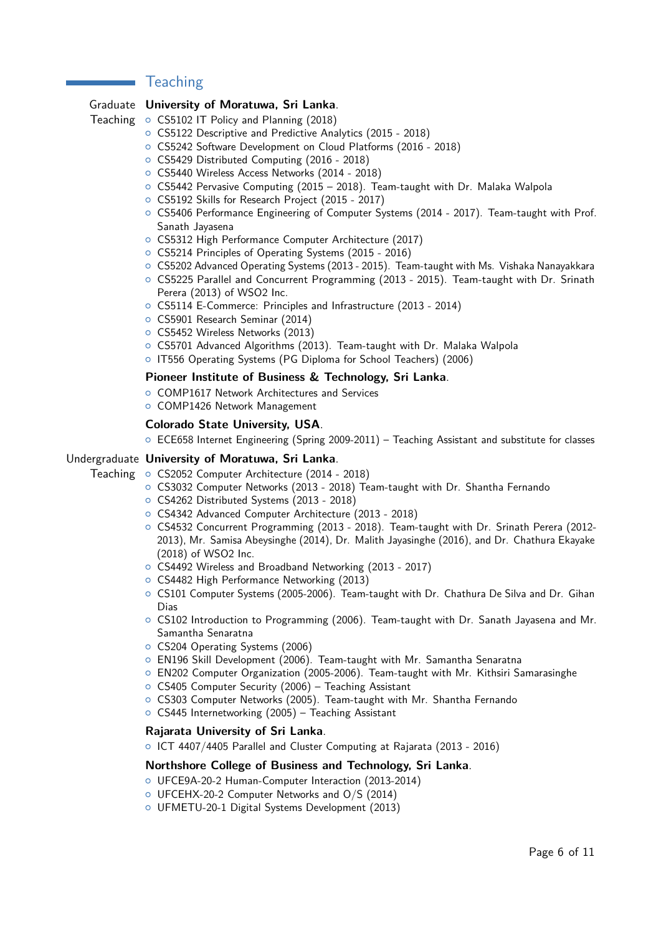# **Teaching**

#### Graduate **University of Moratuwa, Sri Lanka**.

Teaching o CS5102 IT Policy and Planning (2018)

- { CS5122 Descriptive and Predictive Analytics (2015 2018)
- { CS5242 Software Development on Cloud Platforms (2016 2018)
- { CS5429 Distributed Computing (2016 2018)
- { CS5440 Wireless Access Networks (2014 2018)
- $\circ$  CS5442 Pervasive Computing (2015 2018). Team-taught with Dr. Malaka Walpola
- { CS5192 Skills for Research Project (2015 2017)
- { CS5406 Performance Engineering of Computer Systems (2014 2017). Team-taught with Prof. Sanath Jayasena
- { CS5312 High Performance Computer Architecture (2017)
- { CS5214 Principles of Operating Systems (2015 2016)
- { CS5202 Advanced Operating Systems (2013 2015). Team-taught with Ms. Vishaka Nanayakkara
- { CS5225 Parallel and Concurrent Programming (2013 2015). Team-taught with Dr. Srinath Perera (2013) of WSO2 Inc.
- { CS5114 E-Commerce: Principles and Infrastructure (2013 2014)
- { CS5901 Research Seminar (2014)
- { CS5452 Wireless Networks (2013)
- { CS5701 Advanced Algorithms (2013). Team-taught with Dr. Malaka Walpola
- { IT556 Operating Systems (PG Diploma for School Teachers) (2006)

#### **Pioneer Institute of Business & Technology, Sri Lanka**.

- COMP1617 Network Architectures and Services
- o COMP1426 Network Management

#### **Colorado State University, USA**.

 $\circ$  ECE658 Internet Engineering (Spring 2009-2011) – Teaching Assistant and substitute for classes

#### Undergraduate University of Moratuwa, Sri Lanka.

Teaching o CS2052 Computer Architecture (2014 - 2018)

- { CS3032 Computer Networks (2013 2018) Team-taught with Dr. Shantha Fernando
- { CS4262 Distributed Systems (2013 2018)
- { CS4342 Advanced Computer Architecture (2013 2018)
- { CS4532 Concurrent Programming (2013 2018). Team-taught with Dr. Srinath Perera (2012- 2013), Mr. Samisa Abeysinghe (2014), Dr. Malith Jayasinghe (2016), and Dr. Chathura Ekayake (2018) of WSO2 Inc.
- { CS4492 Wireless and Broadband Networking (2013 2017)
- CS4482 High Performance Networking (2013)
- $\circ$  CS101 Computer Systems (2005-2006). Team-taught with Dr. Chathura De Silva and Dr. Gihan Dias
- $\circ$  CS102 Introduction to Programming (2006). Team-taught with Dr. Sanath Jayasena and Mr. Samantha Senaratna
- { CS204 Operating Systems (2006)
- EN196 Skill Development (2006). Team-taught with Mr. Samantha Senaratna
- $\circ$  EN202 Computer Organization (2005-2006). Team-taught with Mr. Kithsiri Samarasinghe
- CS405 Computer Security (2006) Teaching Assistant
- { CS303 Computer Networks (2005). Team-taught with Mr. Shantha Fernando
- $\circ$  CS445 Internetworking (2005) Teaching Assistant

#### **Rajarata University of Sri Lanka**.

{ ICT 4407/4405 Parallel and Cluster Computing at Rajarata (2013 - 2016)

#### **Northshore College of Business and Technology, Sri Lanka**.

- { UFCE9A-20-2 Human-Computer Interaction (2013-2014)
- { UFCEHX-20-2 Computer Networks and O/S (2014)
- { UFMETU-20-1 Digital Systems Development (2013)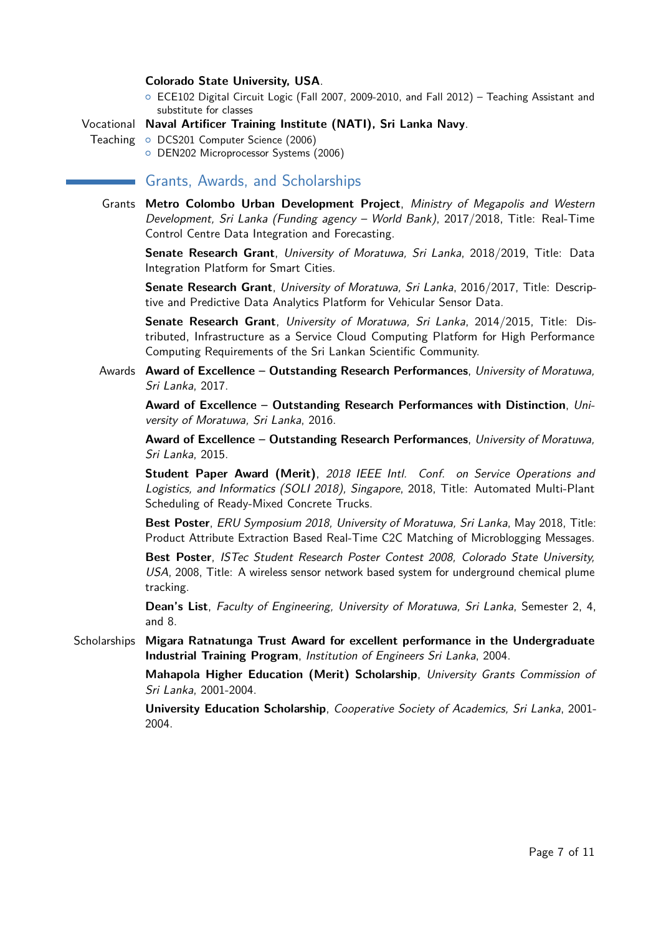#### **Colorado State University, USA**.

© ECE102 Digital Circuit Logic (Fall 2007, 2009-2010, and Fall 2012) - Teaching Assistant and substitute for classes

#### Vocational **Naval Artificer Training Institute (NATI), Sri Lanka Navy**.

Teaching o DCS201 Computer Science (2006)

**O** DEN202 Microprocessor Systems (2006)

# **Grants, Awards, and Scholarships**

Grants **Metro Colombo Urban Development Project**, Ministry of Megapolis and Western Development, Sri Lanka (Funding agency – World Bank), 2017/2018, Title: Real-Time Control Centre Data Integration and Forecasting.

**Senate Research Grant**, University of Moratuwa, Sri Lanka, 2018/2019, Title: Data Integration Platform for Smart Cities.

**Senate Research Grant**, University of Moratuwa, Sri Lanka, 2016/2017, Title: Descriptive and Predictive Data Analytics Platform for Vehicular Sensor Data.

**Senate Research Grant**, University of Moratuwa, Sri Lanka, 2014/2015, Title: Distributed, Infrastructure as a Service Cloud Computing Platform for High Performance Computing Requirements of the Sri Lankan Scientific Community.

#### Awards **Award of Excellence – Outstanding Research Performances**, University of Moratuwa, Sri Lanka, 2017.

**Award of Excellence – Outstanding Research Performances with Distinction**, University of Moratuwa, Sri Lanka, 2016.

**Award of Excellence – Outstanding Research Performances**, University of Moratuwa, Sri Lanka, 2015.

**Student Paper Award (Merit)**, 2018 IEEE Intl. Conf. on Service Operations and Logistics, and Informatics (SOLI 2018), Singapore, 2018, Title: Automated Multi-Plant Scheduling of Ready-Mixed Concrete Trucks.

**Best Poster**, ERU Symposium 2018, University of Moratuwa, Sri Lanka, May 2018, Title: Product Attribute Extraction Based Real-Time C2C Matching of Microblogging Messages.

**Best Poster**, ISTec Student Research Poster Contest 2008, Colorado State University, USA, 2008, Title: A wireless sensor network based system for underground chemical plume tracking.

**Dean's List**, Faculty of Engineering, University of Moratuwa, Sri Lanka, Semester 2, 4, and 8.

Scholarships **Migara Ratnatunga Trust Award for excellent performance in the Undergraduate Industrial Training Program**, Institution of Engineers Sri Lanka, 2004.

> **Mahapola Higher Education (Merit) Scholarship**, University Grants Commission of Sri Lanka, 2001-2004.

> **University Education Scholarship**, Cooperative Society of Academics, Sri Lanka, 2001- 2004.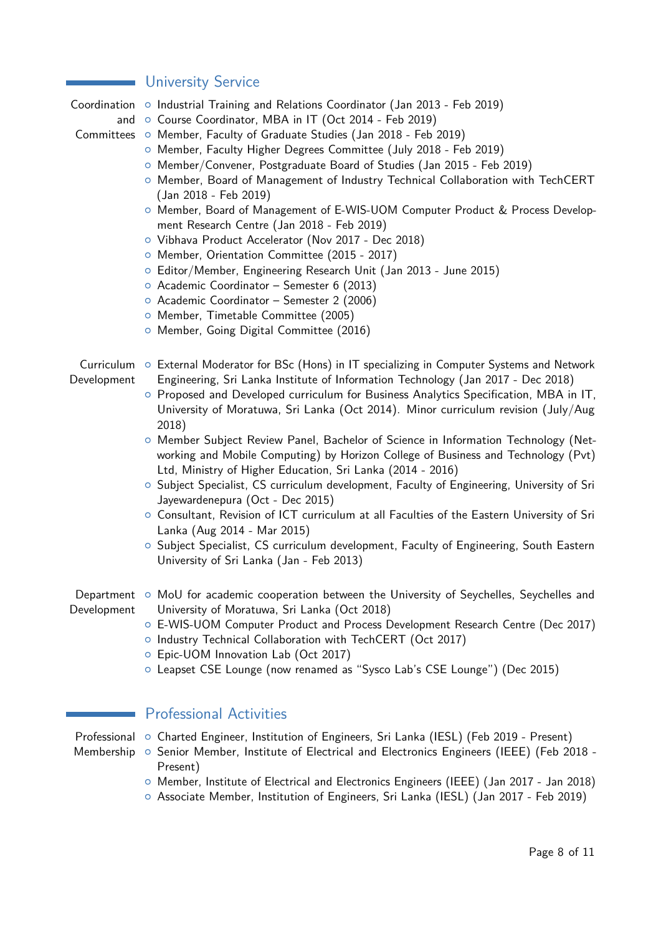# **University Service**

Coordination o Industrial Training and Relations Coordinator (Jan 2013 - Feb 2019)

and o Course Coordinator, MBA in IT (Oct 2014 - Feb 2019)

Committees o Member, Faculty of Graduate Studies (Jan 2018 - Feb 2019)

- { Member, Faculty Higher Degrees Committee (July 2018 Feb 2019)
- { Member/Convener, Postgraduate Board of Studies (Jan 2015 Feb 2019)
- { Member, Board of Management of Industry Technical Collaboration with TechCERT (Jan 2018 - Feb 2019)
- { Member, Board of Management of E-WIS-UOM Computer Product & Process Development Research Centre (Jan 2018 - Feb 2019)
- { Vibhava Product Accelerator (Nov 2017 Dec 2018)
- { Member, Orientation Committee (2015 2017)
- { Editor/Member, Engineering Research Unit (Jan 2013 June 2015)
- { Academic Coordinator Semester 6 (2013)
- { Academic Coordinator Semester 2 (2006)
- { Member, Timetable Committee (2005)
- **O** Member, Going Digital Committee (2016)
- Curriculum o External Moderator for BSc (Hons) in IT specializing in Computer Systems and Network Development Engineering, Sri Lanka Institute of Information Technology (Jan 2017 - Dec 2018)
	- { Proposed and Developed curriculum for Business Analytics Specification, MBA in IT, University of Moratuwa, Sri Lanka (Oct 2014). Minor curriculum revision (July/Aug 2018)
	- { Member Subject Review Panel, Bachelor of Science in Information Technology (Networking and Mobile Computing) by Horizon College of Business and Technology (Pvt) Ltd, Ministry of Higher Education, Sri Lanka (2014 - 2016)
	- { Subject Specialist, CS curriculum development, Faculty of Engineering, University of Sri Jayewardenepura (Oct - Dec 2015)
	- { Consultant, Revision of ICT curriculum at all Faculties of the Eastern University of Sri Lanka (Aug 2014 - Mar 2015)
	- { Subject Specialist, CS curriculum development, Faculty of Engineering, South Eastern University of Sri Lanka (Jan - Feb 2013)
- Department o MoU for academic cooperation between the University of Seychelles, Seychelles and Development University of Moratuwa, Sri Lanka (Oct 2018)
	- { E-WIS-UOM Computer Product and Process Development Research Centre (Dec 2017)
	- o Industry Technical Collaboration with TechCERT (Oct 2017)
	- { Epic-UOM Innovation Lab (Oct 2017)
	- { Leapset CSE Lounge (now renamed as "Sysco Lab's CSE Lounge") (Dec 2015)

# Professional Activities

- Professional o Charted Engineer, Institution of Engineers, Sri Lanka (IESL) (Feb 2019 Present)
- Membership o Senior Member, Institute of Electrical and Electronics Engineers (IEEE) (Feb 2018 -Present)
	- { Member, Institute of Electrical and Electronics Engineers (IEEE) (Jan 2017 Jan 2018)
	- { Associate Member, Institution of Engineers, Sri Lanka (IESL) (Jan 2017 Feb 2019)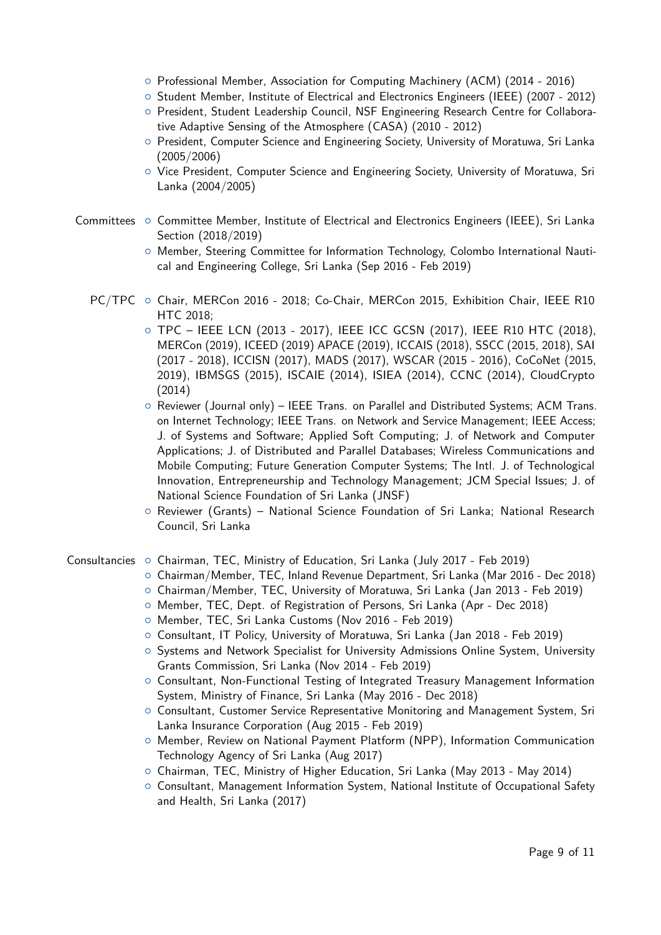- { Professional Member, Association for Computing Machinery (ACM) (2014 2016)
- { Student Member, Institute of Electrical and Electronics Engineers (IEEE) (2007 2012)
- { President, Student Leadership Council, NSF Engineering Research Centre for Collaborative Adaptive Sensing of the Atmosphere (CASA) (2010 - 2012)
- { President, Computer Science and Engineering Society, University of Moratuwa, Sri Lanka (2005/2006)
- $\circ$  Vice President, Computer Science and Engineering Society, University of Moratuwa, Sri Lanka (2004/2005)
- Committees { Committee Member, Institute of Electrical and Electronics Engineers (IEEE), Sri Lanka Section (2018/2019)
	- $\circ$  Member, Steering Committee for Information Technology, Colombo International Nautical and Engineering College, Sri Lanka (Sep 2016 - Feb 2019)
	- PC/TPC o Chair, MERCon 2016 2018; Co-Chair, MERCon 2015, Exhibition Chair, IEEE R10 HTC 2018;
		- $\circ$  TPC IEEE LCN (2013 2017), IEEE ICC GCSN (2017), IEEE R10 HTC (2018), MERCon (2019), ICEED (2019) APACE (2019), ICCAIS (2018), SSCC (2015, 2018), SAI (2017 - 2018), ICCISN (2017), MADS (2017), WSCAR (2015 - 2016), CoCoNet (2015, 2019), IBMSGS (2015), ISCAIE (2014), ISIEA (2014), CCNC (2014), CloudCrypto (2014)
		- Reviewer (Journal only) IEEE Trans. on Parallel and Distributed Systems; ACM Trans. on Internet Technology; IEEE Trans. on Network and Service Management; IEEE Access; J. of Systems and Software; Applied Soft Computing; J. of Network and Computer Applications; J. of Distributed and Parallel Databases; Wireless Communications and Mobile Computing; Future Generation Computer Systems; The Intl. J. of Technological Innovation, Entrepreneurship and Technology Management; JCM Special Issues; J. of National Science Foundation of Sri Lanka (JNSF)
		- { Reviewer (Grants) National Science Foundation of Sri Lanka; National Research Council, Sri Lanka
- Consultancies { Chairman, TEC, Ministry of Education, Sri Lanka (July 2017 Feb 2019)
	- { Chairman/Member, TEC, Inland Revenue Department, Sri Lanka (Mar 2016 Dec 2018)
	- { Chairman/Member, TEC, University of Moratuwa, Sri Lanka (Jan 2013 Feb 2019)
	- { Member, TEC, Dept. of Registration of Persons, Sri Lanka (Apr Dec 2018)
	- { Member, TEC, Sri Lanka Customs (Nov 2016 Feb 2019)
	- { Consultant, IT Policy, University of Moratuwa, Sri Lanka (Jan 2018 Feb 2019)
	- { Systems and Network Specialist for University Admissions Online System, University Grants Commission, Sri Lanka (Nov 2014 - Feb 2019)
	- { Consultant, Non-Functional Testing of Integrated Treasury Management Information System, Ministry of Finance, Sri Lanka (May 2016 - Dec 2018)
	- { Consultant, Customer Service Representative Monitoring and Management System, Sri Lanka Insurance Corporation (Aug 2015 - Feb 2019)
	- { Member, Review on National Payment Platform (NPP), Information Communication Technology Agency of Sri Lanka (Aug 2017)
	- <sup>o</sup> Chairman, TEC, Ministry of Higher Education, Sri Lanka (May 2013 May 2014)
	- { Consultant, Management Information System, National Institute of Occupational Safety and Health, Sri Lanka (2017)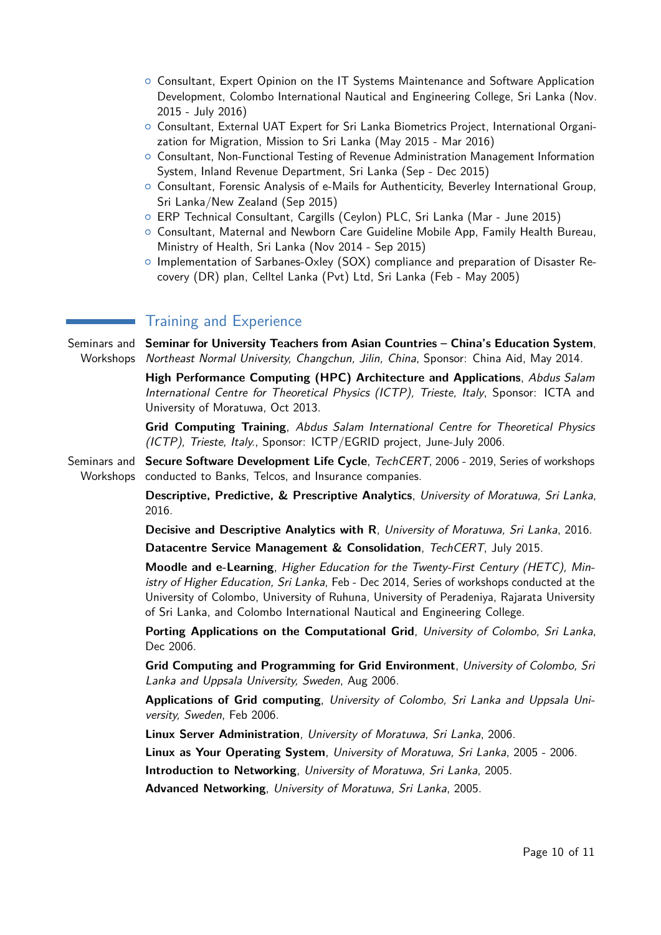- { Consultant, Expert Opinion on the IT Systems Maintenance and Software Application Development, Colombo International Nautical and Engineering College, Sri Lanka (Nov. 2015 - July 2016)
- { Consultant, External UAT Expert for Sri Lanka Biometrics Project, International Organization for Migration, Mission to Sri Lanka (May 2015 - Mar 2016)
- { Consultant, Non-Functional Testing of Revenue Administration Management Information System, Inland Revenue Department, Sri Lanka (Sep - Dec 2015)
- { Consultant, Forensic Analysis of e-Mails for Authenticity, Beverley International Group, Sri Lanka/New Zealand (Sep 2015)
- { ERP Technical Consultant, Cargills (Ceylon) PLC, Sri Lanka (Mar June 2015)
- { Consultant, Maternal and Newborn Care Guideline Mobile App, Family Health Bureau, Ministry of Health, Sri Lanka (Nov 2014 - Sep 2015)
- $\circ$  Implementation of Sarbanes-Oxley (SOX) compliance and preparation of Disaster Recovery (DR) plan, Celltel Lanka (Pvt) Ltd, Sri Lanka (Feb - May 2005)

# Training and Experience

Seminars and Seminar for University Teachers from Asian Countries - China's Education System, Workshops *Northeast Normal University, Changchun, Jilin, China*, Sponsor: China Aid, May 2014.

> **High Performance Computing (HPC) Architecture and Applications**, Abdus Salam International Centre for Theoretical Physics (ICTP), Trieste, Italy, Sponsor: ICTA and University of Moratuwa, Oct 2013.

> **Grid Computing Training**, Abdus Salam International Centre for Theoretical Physics (ICTP), Trieste, Italy., Sponsor: ICTP/EGRID project, June-July 2006.

Seminars and **Secure Software Development Life Cycle**, TechCERT, 2006 - 2019, Series of workshops Workshops conducted to Banks, Telcos, and Insurance companies.

> **Descriptive, Predictive, & Prescriptive Analytics**, University of Moratuwa, Sri Lanka, 2016.

> **Decisive and Descriptive Analytics with R**, University of Moratuwa, Sri Lanka, 2016.

**Datacentre Service Management & Consolidation**, TechCERT, July 2015.

**Moodle and e-Learning**, Higher Education for the Twenty-First Century (HETC), Ministry of Higher Education, Sri Lanka, Feb - Dec 2014, Series of workshops conducted at the University of Colombo, University of Ruhuna, University of Peradeniya, Rajarata University of Sri Lanka, and Colombo International Nautical and Engineering College.

**Porting Applications on the Computational Grid**, University of Colombo, Sri Lanka, Dec 2006.

**Grid Computing and Programming for Grid Environment**, University of Colombo, Sri Lanka and Uppsala University, Sweden, Aug 2006.

**Applications of Grid computing**, University of Colombo, Sri Lanka and Uppsala University, Sweden, Feb 2006.

**Linux Server Administration**, University of Moratuwa, Sri Lanka, 2006.

**Linux as Your Operating System**, University of Moratuwa, Sri Lanka, 2005 - 2006.

**Introduction to Networking**, University of Moratuwa, Sri Lanka, 2005.

**Advanced Networking**, University of Moratuwa, Sri Lanka, 2005.